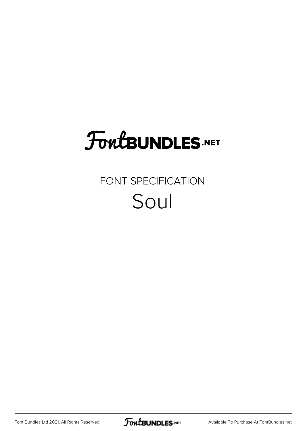# **FoutBUNDLES.NET**

### FONT SPECIFICATION Soul

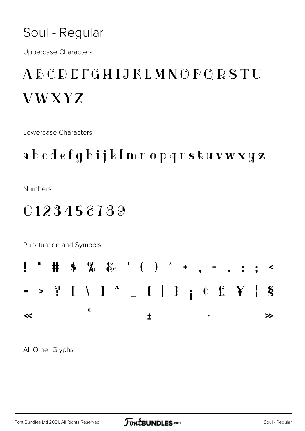#### Soul - Regular

**Uppercase Characters** 

## **ABCDEFGHIJKLMNOPQRSTU VWXYZ**

Lowercase Characters

### abcdefghijkImnopqrstuvwxyz

**Numbers** 

### 0123456789

Punctuation and Symbols



All Other Glyphs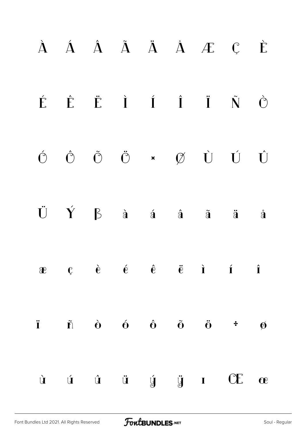